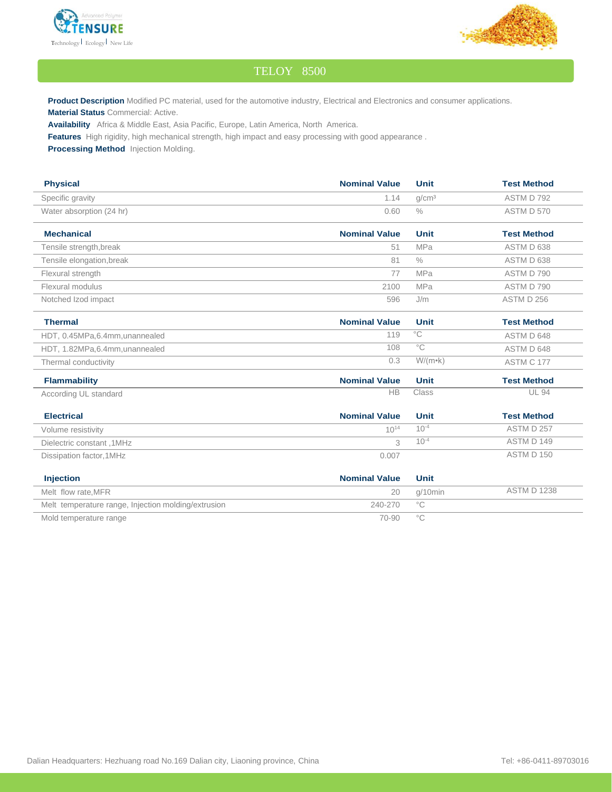



## TELOY 8500

**Product Description** Modified PC material, used for the automotive industry, Electrical and Electronics and consumer applications. **Material Status** Commercial: Active.

**Availability** Africa & Middle East, Asia Pacific, Europe, Latin America, North America.

**Features** High rigidity, high mechanical strength, high impact and easy processing with good appearance .

**Processing Method** Injection Molding.

| <b>Physical</b>                                     | <b>Nominal Value</b> | <b>Unit</b>       | <b>Test Method</b> |
|-----------------------------------------------------|----------------------|-------------------|--------------------|
|                                                     |                      |                   |                    |
| Specific gravity                                    | 1.14                 | q/cm <sup>3</sup> | ASTM D 792         |
| Water absorption (24 hr)                            | 0.60                 | $\frac{0}{0}$     | ASTM D 570         |
| <b>Mechanical</b>                                   | <b>Nominal Value</b> | <b>Unit</b>       | <b>Test Method</b> |
| Tensile strength, break                             | 51                   | <b>MPa</b>        | ASTM D 638         |
| Tensile elongation, break                           | 81                   | $\frac{0}{0}$     | ASTM D 638         |
| Flexural strength                                   | 77                   | <b>MPa</b>        | ASTM D 790         |
| Flexural modulus                                    | 2100                 | <b>MPa</b>        | ASTM D 790         |
| Notched Izod impact                                 | 596                  | J/m               | ASTM D 256         |
| <b>Thermal</b>                                      | <b>Nominal Value</b> | <b>Unit</b>       | <b>Test Method</b> |
| HDT, 0.45MPa, 6.4mm, unannealed                     | 119                  | $^{\circ}$ C      | ASTM D 648         |
| HDT, 1.82MPa, 6.4mm, unannealed                     | 108                  | $^{\circ}$ C      | ASTM D 648         |
| Thermal conductivity                                | 0.3                  | $W/(m \cdot k)$   | ASTM C 177         |
| <b>Flammability</b>                                 | <b>Nominal Value</b> | <b>Unit</b>       | <b>Test Method</b> |
| According UL standard                               | <b>HB</b>            | Class             | <b>UL 94</b>       |
| <b>Electrical</b>                                   | <b>Nominal Value</b> | <b>Unit</b>       | <b>Test Method</b> |
| Volume resistivity                                  | $10^{14}$            | $10^{-4}$         | ASTM D 257         |
| Dielectric constant, 1MHz                           | 3                    | $10^{-4}$         | ASTM D 149         |
| Dissipation factor, 1MHz                            | 0.007                |                   | ASTM D 150         |
| <b>Injection</b>                                    | <b>Nominal Value</b> | <b>Unit</b>       |                    |
| Melt flow rate, MFR                                 | 20                   | $q/10$ min        | <b>ASTM D 1238</b> |
| Melt temperature range, Injection molding/extrusion | 240-270              | $^{\circ}$ C      |                    |

Mold temperature range  $\sim$  70-90 °C